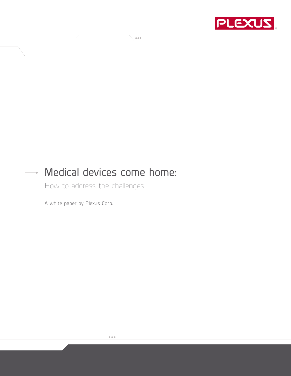

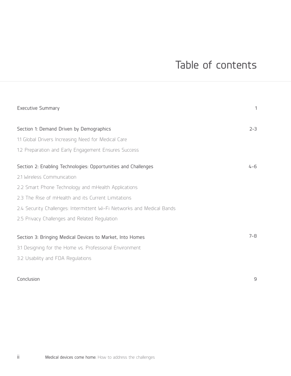# Table of contents

| <b>Executive Summary</b>                                               | 1       |
|------------------------------------------------------------------------|---------|
| Section 1: Demand Driven by Demographics                               | $2 - 3$ |
| 1.1 Global Drivers Increasing Need for Medical Care                    |         |
| 1.2 Preparation and Early Engagement Ensures Success                   |         |
| Section 2: Enabling Technologies: Opportunities and Challenges         | $4 - 6$ |
| 2.1 Wireless Communication                                             |         |
| 2.2 Smart Phone Technology and mHealth Applications                    |         |
| 2.3 The Rise of mHealth and its Current Limitations                    |         |
| 2.4 Security Challenges: Intermittent Wi-Fi Networks and Medical Bands |         |
| 2.5 Privacy Challenges and Related Regulation                          |         |
| Section 3: Bringing Medical Devices to Market, Into Homes              | $7 - 8$ |
| 3.1 Designing for the Home vs. Professional Environment                |         |
| 3.2 Usability and FDA Regulations                                      |         |

### Conclusion

9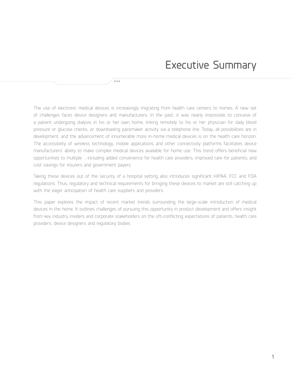The use of electronic medical devices is increasingly migrating from health care centers to homes. A new set of challenges faces device designers and manufacturers. In the past, it was nearly impossible to conceive of a patient undergoing dialysis in his or her own home, linking remotely to his or her physician for daily blood pressure or glucose checks, or downloading pacemaker activity via a telephone line. Today, all possibilities are in development, and the advancement of innumerable more in-home medical devices is on the health care horizon. The accessibility of wireless technology, mobile applications and other connectivity platforms facilitates device manufacturers' ability to make complex medical devices available for home use. This trend offers beneficial new opportunities to multiple , including added convenience for health care providers; improved care for patients; and cost savings for insurers and government payers.

 $0.000$ 

Taking these devices out of the security of a hospital setting also introduces significant HIPAA, FCC and FDA regulations. Thus, regulatory and technical requirements for bringing these devices to market are still catching up with the eager anticipation of health care suppliers and providers.

This paper explores the impact of recent market trends surrounding the large-scale introduction of medical devices in the home. It outlines challenges of pursuing this opportunity in product development and offers insight from key industry insiders and corporate stakeholders on the oft-conflicting expectations of patients, health care providers, device designers and regulatory bodies.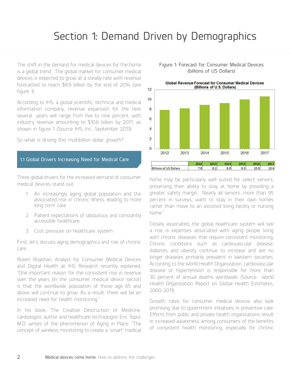## Section 1: Demand Driven by Demographics

The shift in the demand for medical devices for the home is a global trend. The global market for consumer medical devices is expected to grow at a steady rate with revenue forecasted to reach \$8.9 billion by the end of 2014 (see figure 1).

According to IHS, a global scientific, technical and medical information company, revenue expansion for the next several years will range from five to nine percent, with industry revenue amounting to \$10.6 billion by 2017, as shown in figure 1. (Source IHS, Inc., September 2013)

So what is driving this multibillion dollar growth?

#### 1.1 Global Drivers Increasing Need for Medical Care

Three global drivers for the increased demand of consumer medical devices stand out:

- An increasingly aging global population and the associated rise in chronic illness, leading to more long term care.
- 2. Patient expectations of ubiquitous and constantly accessible healthcare.
- 3. Cost pressure on healthcare system

First, let's discuss aging demographics and rise of chronic care…

Roeen Roashan, Analyst for Consumer Medical Devices and Digital Health at IHS Research recently explained, "One important reason for the consistent rise in revenue over the years (in the consumer medical device sector) is that the worldwide population of those age 65 and above will continue to grow. As a result, there will be an increased need for health monitoring."

In his book, The Creative Destruction of Medicine, cardiologist, author and healthcare technologist Eric Topol, M.D. writes of the phenomenon of Aging in Place: "The concept of wireless monitoring to create a 'smart' medical

#### Figure 1: Forecast for Consumer Medical Devices (billions of US Dollars)



home may be particularly well suited for select seniors, preserving their ability to stay at home by providing a greater safety margin. Nearly all seniors, more than 95 percent in surveys, want to stay in their own homes rather than move to an assisted living facility or nursing home."

Closely associated, the global healthcare system will see a rise is expenses associated with aging people living with chronic diseases that require consistent monitoring. Chronic conditions such as cardiovascular disease, diabetes and obesity continue to increase and are no longer diseases primarily prevalent in Western societies. According to the World Health Organization, cardiovascular disease or hypertension is responsible for more than 30 percent of annual deaths worldwide. (Source: World Health Organization Report on Global Health Estimates, 2000-2011)

Growth rates for consumer medical devices also look promising due to government initiatives in preventive care. Efforts from public and private health organizations result in increased awareness among consumers of the benefits of consistent health monitoring, especially for chronic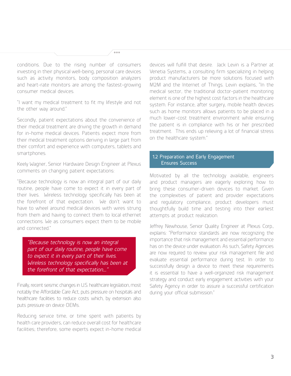conditions. Due to the rising number of consumers investing in their physical well-being, personal care devices such as activity monitors, body composition analyzers and heart-rate monitors are among the fastest-growing consumer medical devices.

 $0.000$ 

"I want my medical treatment to fit my lifestyle and not the other way around."

Secondly, patient expectations about the convenience of their medical treatment are driving the growth in demand for in-home medical devices. Patients expect more from their medical treatment options deriving in large part from their comfort and experience with computers, tablets and smartphones.

Keely Wagner, Senior Hardware Design Engineer at Plexus comments on changing patient expectations:

"Because technology is now an integral part of our daily routine, people have come to expect it in every part of their lives. Wireless technology specifically has been at the forefront of that expectation. We don't want to have to wheel around medical devices with wires strung from them and having to connect them to local ethernet connections. We as consumers expect them to be mobile and connected."

*"Because technology is now an integral part of our daily routine, people have come to expect it in every part of their lives. Wireless technology specifically has been at the forefront of that expectation...."*

Finally, recent seismic changes in U.S. healthcare legislation, most notably the Affordable Care Act, puts pressure on hospitals and healthcare facilities to reduce costs which, by extension also puts pressure on device OEMs.

Reducing service time, or time spent with patients by health care providers, can reduce overall cost for healthcare facilities; therefore, some experts expect in-home medical devices will fulfill that desire. Jack Levin is a Partner at Venetia Systems, a consulting firm specializing in helping product manufacturers be more solutions focused with M2M and the Internet of Things. Levin explains, "In the medical sector, the traditional doctor-patient monitoring element is one of the highest cost factors in the healthcare system. For instance, after surgery, mobile health devices such as home monitors allows patients to be placed in a much lower-cost treatment environment while ensuring the patient is in compliance with his or her prescribed treatment. This ends up relieving a lot of financial stress on the healthcare system."

### 1.2 Preparation and Early Engagement Ensures Success

Motivated by all the technology available, engineers and product managers are eagerly exploring how to bring these consumer-driven devices to market. Given the complexities of patient and provider expectations and regulatory compliance, product developers must thoughtfully build time and testing into their earliest attempts at product realization.

Jeffrey Newhouse, Senior Quality Engineer at Plexus Corp., explains: "Performance standards are now recognizing the importance that risk management and essential performance has on the device under evaluation. As such, Safety Agencies are now required to review your risk management file and evaluate essential performance during test. In order to successfully design a device to meet these requirements it is essential to have a well-organized risk management strategy and conduct early engagement activities with your Safety Agency in order to assure a successful certification during your official submission."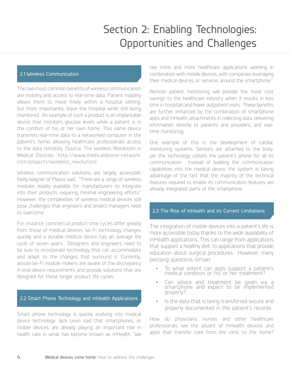# Section 2: Enabling Technologies: Opportunities and Challenges

### 2.1 Wireless Communication

The two most common benefits of wireless communication are mobility and access to real-time data. Patient mobility allows them to move freely within a hospital setting, but more importantly, leave the hospital while still being monitored. An example of such a product is an implantable device that monitors glucose levels while a patient is in the comfort of his or her own home. This same device transmits real-time data to a networked computer in the patient's home, allowing healthcare professionals access to the data remotely. (Source: The Wireless Revolution in Medical Devices, http://www.medicaldevice-network. com/projects/wireless\_revolution)

Wireless communication solutions are largely accessible. Keely Wagner of Plexus said, "There are a range of wireless modules readily available for manufacturers to integrate into their products requiring minimal engineering efforts." However, the complexities of wireless medical devices still pose challenges that engineers and project managers need to overcome.

For instance, commercial product time cycles differ greatly from those of medical devices. Wi-Fi technology changes quickly and a durable medical device has an average life cycle of seven years. Designers and engineers need to be sure to incorporate technology that can accommodate and adapt to the changes that surround it. Currently, astute Wi-Fi module makers are aware of the discrepancy in end-device requirements and provide solutions that are designed for these longer product life cycles.

#### 2.2 Smart Phone Technology and mHealth Applications

Smart phone technology is quickly evolving into medical device technology. Jack Levin said that smartphones, or mobile devices, are already playing an important role in health care in what has become known as mHealth. "We

see more and more healthcare applications working in combination with mobile devices, with companies leveraging their medical devices or services around the smartphone."

Remote patient monitoring will provide the most cost savings to the healthcare industry when it results in less time in hospitals and fewer outpatient visits. These benefits are further enhanced by the combination of smartphone apps and mHealth attachments in collecting data, delivering information directly to patients and providers, and realtime monitoring.

One example of this is the development of cardiac monitoring systems. Sensors are attached to the body, yet the technology utilizes the patient's phone for all its communication. Instead of building the communication capabilities into the medical device, the system is taking advantage of the fact that the majority of the technical features required to enable its communication features are already integrated parts of the smartphone.

#### 2.3 The Rise of mHealth and its Current Limitations

The integration of mobile devices into a patient's life is more accessible today thanks to the wide availability of mHealth applications. This can range from applications that support a healthy diet, to applications that provide education about surgical procedures. However, many pressing questions remain:

- To what extent can apps support a patient's medical condition or his or her treatment?
- Can advice and treatment be given via a smartphone and expect to be implemented properly?
- Is the data that is being transferred secure and properly documented in the patient's records

How do physicians, nurses and other healthcare professionals see the advent of mHealth devices and apps that transfer care from the clinic to the home?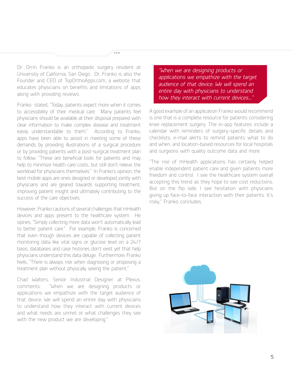Dr. Orrin Franko is an orthopedic surgery resident at University of California, San Diego. Dr. Franko is also the Founder and CEO of TopOrthoApps.com, a website that educates physicians on benefits and limitations of apps along with providing reviews.

 $0.01$ 

Franko stated, "Today, patients expect more when it comes to accessibility of their medical care. Many patients feel physicians should be available at their disposal prepared with clear information to make complex disease and treatment easily understandable to them." According to Franko, apps have been able to assist in meeting some of these demands by providing illustrations of a surgical procedure or by providing patients with a post-surgical treatment plan to follow. "These are beneficial tools for patients and may help to minimize health care costs, but still don't relieve the workload for physicians themselves." In Franko's opinion, the best mobile apps are ones designed or developed jointly with physicians and are geared towards supporting treatment, improving patient insight and ultimately contributing to the success of the care objectives.

However, Franko cautions of several challenges that mHealth devices and apps present to the healthcare system. He opines, "Simply collecting more data won't automatically lead to better patient care." For example, Franko is concerned that even though devices are capable of collecting patient monitoring data like vital signs or glucose level on a 24/7 basis, databases and case histories don't exist yet that help physicians understand this data deluge. Furthermore, Franko feels, "There is always risk when diagnosing or proposing a treatment plan without physically seeing the patient."

Chad Walters, Senior Industrial Designer at Plexus, comments: "When we are designing products or applications we empathize with the target audience of that device. We will spend an entire day with physicians to understand how they interact with current devices and what needs are unmet or what challenges they see with the new product we are developing."

*"When we are designing products or applications we empathize with the target audience of that device. We will spend an entire day with physicians to understand how they interact with current devices...."*

A good example of an application Franko would recommend is one that is a complete resource for patients considering knee replacement surgery. The in-app features include a calendar with reminders of surgery-specific details and checklists, e-mail alerts to remind patients what to do and when, and location-based resources for local hospitals and surgeons with quality outcome data and more.

"The rise of mHealth applications has certainly helped enable independent patient care and given patients more freedom and control. I see the healthcare system overall accepting this trend as they hope to see cost reductions. But on the flip side, I see hesitation with physicians giving up face-to-face interaction with their patients. It's risky," Franko concludes.

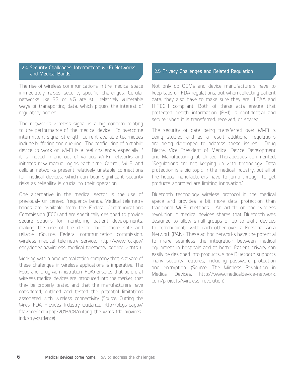#### 2.4 Security Challenges: Intermittent Wi-Fi Networks and Medical Bands 2.5 Privacy Challenges and Related Regulation

The rise of wireless communications in the medical space immediately raises security-specific challenges. Cellular networks like 3G or 4G are still relatively vulnerable ways of transporting data, which piques the interest of regulatory bodies.

The network's wireless signal is a big concern relating to the performance of the medical device. To overcome intermittent signal strength, current available techniques include buffering and queuing. The configuring of a mobile device to work on Wi-Fi is a real challenge, especially if it is moved in and out of various Wi-Fi networks and initiates new manual logins each time. Overall, Wi-Fi and cellular networks present relatively unstable connections for medical devices, which can bear significant security risks as reliability is crucial to their operation.

One alternative in the medical sector is the use of previously unlicensed frequency bands. Medical telemetry bands are available from the Federal Communications Commission (FCC) and are specifically designed to provide secure options for monitoring patient developments, making the use of the device much more safe and reliable. (Source: Federal communication commission, wireless medical telemetry service, http://www.fcc.gov/ encyclopedia/wireless-medical-telemetry-service-wmts )

Working with a product realization company that is aware of these challenges in wireless applications is imperative. The Food and Drug Administration (FDA) ensures that before all wireless medical devices are introduced into the market, that they be properly tested and that the manufacturers have considered, outlined and tested the potential limitations associated with wireless connectivity (Source: Cutting the Wires: FDA Provides Industry Guidance, http://blogs.fda.gov/ fdavoice/index.php/2013/08/cutting-the-wires-fda-providesindustry-guidance)

Not only do OEMs and device manufacturers have to keep tabs on FDA regulations, but when collecting patient data, they also have to make sure they are HIPAA and HITECH compliant. Both of these acts ensure that protected health information (PHI) is confidential and secure when it is transferred, received, or shared.

The security of data being transferred over Wi-Fi is being studied and as a result additional regulations are being developed to address these issues. Doug Biette, Vice President of Medical Device Development and Manufacturing at United Therapeutics commented, "Regulations are not keeping up with technology. Data protection is a big topic in the medical industry, but all of the hoops manufacturers have to jump through to get products approved are limiting innovation."

Bluetooth technology wireless protocol in the medical space and provides a bit more data protection than traditional Wi-Fi methods. An article on the wireless revolution in medical devices shares that Bluetooth was designed to allow small groups of up to eight devices to communicate with each other over a Personal Area Network (PAN). These ad hoc networks have the potential to make seamless the integration between medical equipment in hospitals and at home. Patient privacy can easily be designed into products, since Bluetooth supports many security features, including password protection and encryption. (Source: The Wireless Revolution in Medical Devices, http://www.medicaldevice-network. com/projects/wireless\_revolution)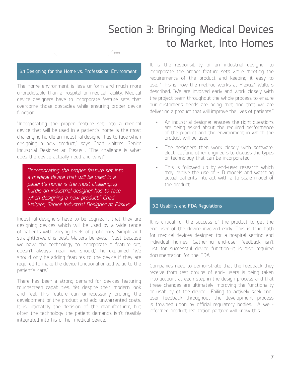# Section 3: Bringing Medical Devices to Market, Into Homes

#### 3.1 Designing for the Home vs. Professional Environment

 $0.00$ 

The home environment is less uniform and much more unpredictable than a hospital or medical facility. Medical device designers have to incorporate feature sets that overcome those obstacles while ensuring proper device function.

"Incorporating the proper feature set into a medical device that will be used in a patient's home is the most challenging hurdle an industrial designer has to face when designing a new product," says Chad Walters, Senior Industrial Designer at Plexus . "The challenge is what does the device actually need and why?"

*"Incorporating the proper feature set into a medical device that will be used in a patient's home is the most challenging hurdle an industrial designer has to face when designing a new product." Chad Walters, Senior Industrial Designer at Plexus* 

Industrial designers have to be cognizant that they are designing devices which will be used by a wide range of patients with varying levels of proficiency. Simple and straightforward is best, Walters believes. "Just because we have the technology to incorporate a feature set, doesn't always mean we should," he explained. "We should only be adding features to the device if they are required to make the device functional or add value to the patient's care."

There has been a strong demand for devices featuring touchscreen capabilities. Yet despite their modern look and feel, this feature can unnecessarily prolong the development of the product and add unwarranted costs. It is ultimately the decision of the manufacturer, but often the technology the patient demands isn't feasibly integrated into his or her medical device.

It is the responsibility of an industrial designer to incorporate the proper feature sets while meeting the requirements of the product and keeping it easy to use. "This is how the method works at Plexus." Walters described, "We are involved early and work closely with the project team throughout the whole process to ensure our customer's needs are being met and that we are delivering a product that will improve the lives of patients."

- An industrial designer ensures the right questions are being asked about the required performance of the product and the environment in which the product will be used.
- The designers then work closely with software, electrical, and other engineers to discuss the types of technology that can be incorporated.
- This is followed up by end-user research which may involve the use of 3-D models and watching actual patients interact with a to-scale model of the product.

#### 3.2 Usability and FDA Regulations

It is critical for the success of the product to get the end-user of the device involved early. This is true both for medical devices designed for a hospital setting and individual homes. Gathering end-user feedback isn't just for successful device function—it is also required documentation for the FDA.

Companies need to demonstrate that the feedback they receive from test groups of end- users is being taken into account at each step in the design process and that these changes are ultimately improving the functionality or usability of the device. Failing to actively seek enduser feedback throughout the development process is frowned upon by official regulatory bodies. A wellinformed product realization partner will know this.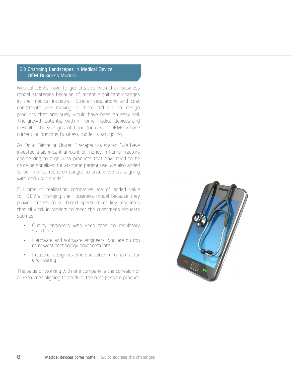### 3.3 Changing Landscapes in Medical Device OEM Business Models

Medical OEMs have to get creative with their business model strategies because of recent significant changes in the medical industry. Stricter regulations and cost constraints are making it more difficult to design products that previously would have been an easy sell. The growth potential with in-home medical devices and mHealth shows signs of hope for device OEMs whose current or previous business model is struggling.

As Doug Biette of United Therapeutics stated, "We have invested a significant amount of money in human factors engineering to align with products that now need to be more personalized for at-home patient use. We also added to our market research budget to ensure we are aligning with end-user needs."

Full product realization companies are of added value to OEM's changing their business model because they provide access to a broad spectrum of key resources that all work in tandem to meet the customer's requests such as:

- Quality engineers who keep tabs on regulatory standards
- Hardware and software engineers who are on top of newest technology advancements
- Industrial designers who specialize in human factor engineering

The value of working with one company is the cohesion of all resources aligning to produce the best possible product.

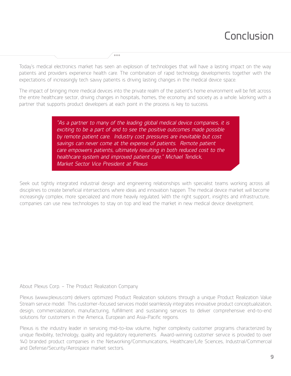# Conclusion

 $\sim$   $\sim$   $\sim$ 

Today's medical electronics market has seen an explosion of technologies that will have a lasting impact on the way patients and providers experience health care. The combination of rapid technology developments together with the expectations of increasingly tech savvy patients is driving lasting changes in the medical device space.

The impact of bringing more medical devices into the private realm of the patient's home environment will be felt across the entire healthcare sector, driving changes in hospitals, homes, the economy and society as a whole. Working with a partner that supports product developers at each point in the process is key to success.

> *"As a partner to many of the leading global medical device companies, it is exciting to be a part of and to see the positive outcomes made possible by remote patient care. Industry cost pressures are inevitable but cost savings can never come at the expense of patients. Remote patient care empowers patients, ultimately resulting in both reduced cost to the healthcare system and improved patient care." Michael Tendick, Market Sector Vice President at Plexus*

Seek out tightly integrated industrial design and engineering relationships with specialist teams working across all disciplines to create beneficial intersections where ideas and innovation happen. The medical device market will become increasingly complex, more specialized and more heavily regulated. With the right support, insights and infrastructure, companies can use new technologies to stay on top and lead the market in new medical device development.

### About Plexus Corp. – The Product Realization Company

Plexus (www.plexus.com) delivers optimized Product Realization solutions through a unique Product Realization Value Stream service model. This customer-focused services model seamlessly integrates innovative product conceptualization, design, commercialization, manufacturing, fulfillment and sustaining services to deliver comprehensive end-to-end solutions for customers in the America, European and Asia-Pacific regions.

Plexus is the industry leader in servicing mid-to-low volume, higher complexity customer programs characterized by unique flexibility, technology, quality and regulatory requirements. Award-winning customer service is provided to over 140 branded product companies in the Networking/Communications, Healthcare/Life Sciences, Industrial/Commercial and Defense/Security/Aerospace market sectors.